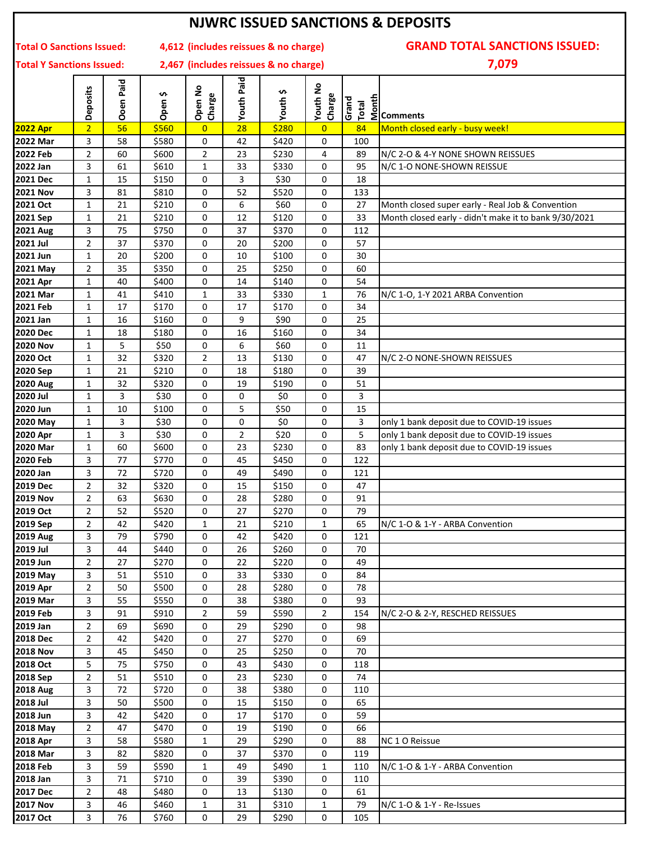| <b>NJWRC ISSUED SANCTIONS &amp; DEPOSITS</b> |                                      |           |                        |                   |                   |                                       |                    |          |                                                                                                                                                                                                                                                                                                                     |  |  |
|----------------------------------------------|--------------------------------------|-----------|------------------------|-------------------|-------------------|---------------------------------------|--------------------|----------|---------------------------------------------------------------------------------------------------------------------------------------------------------------------------------------------------------------------------------------------------------------------------------------------------------------------|--|--|
| <b>Total O Sanctions Issued:</b>             | <b>GRAND TOTAL SANCTIONS ISSUED:</b> |           |                        |                   |                   |                                       |                    |          |                                                                                                                                                                                                                                                                                                                     |  |  |
| <b>Total Y Sanctions Issued:</b>             |                                      |           |                        |                   |                   | 2,467 (includes reissues & no charge) |                    |          | 7,079                                                                                                                                                                                                                                                                                                               |  |  |
|                                              | <b>Deposits</b>                      | Ooen Paid | S<br>Open <sup>-</sup> | Open No<br>Charge | <b>Youth Paid</b> | S.<br>Youth                           | Youth No<br>Charge | Grand    | $\frac{1}{2}$ $\frac{1}{2}$ $\frac{1}{2}$ $\frac{1}{2}$ $\frac{1}{2}$ $\frac{1}{2}$ $\frac{1}{2}$ $\frac{1}{2}$ $\frac{1}{2}$ $\frac{1}{2}$ $\frac{1}{2}$ $\frac{1}{2}$ $\frac{1}{2}$ $\frac{1}{2}$ $\frac{1}{2}$ $\frac{1}{2}$ $\frac{1}{2}$ $\frac{1}{2}$ $\frac{1}{2}$ $\frac{1}{2}$ $\frac{1}{2}$ $\frac{1}{2}$ |  |  |
| <b>2022 Apr</b>                              | $\overline{2}$                       | 56        | \$560                  | $\overline{0}$    | 28                | \$280                                 | $\overline{0}$     | 84       | Month closed early - busy week!                                                                                                                                                                                                                                                                                     |  |  |
| <b>2022 Mar</b>                              | 3                                    | 58        | \$580                  | 0                 | 42                | \$420                                 | 0                  | 100      |                                                                                                                                                                                                                                                                                                                     |  |  |
| <b>2022 Feb</b>                              | 2<br>3                               | 60<br>61  | \$600<br>\$610         | $\overline{2}$    | 23<br>33          | \$230                                 | 4                  | 89<br>95 | N/C 2-O & 4-Y NONE SHOWN REISSUES<br>N/C 1-O NONE-SHOWN REISSUE                                                                                                                                                                                                                                                     |  |  |
| 2022 Jan<br><b>2021 Dec</b>                  | $\mathbf{1}$                         | 15        | \$150                  | 1<br>0            | 3                 | \$330<br>\$30                         | 0<br>0             | 18       |                                                                                                                                                                                                                                                                                                                     |  |  |
| <b>2021 Nov</b>                              | 3                                    | 81        | \$810                  | 0                 | 52                | \$520                                 | 0                  | 133      |                                                                                                                                                                                                                                                                                                                     |  |  |
| 2021 Oct                                     | $\mathbf{1}$                         | 21        | \$210                  | 0                 | 6                 | \$60                                  | 0                  | 27       | Month closed super early - Real Job & Convention                                                                                                                                                                                                                                                                    |  |  |
| 2021 Sep                                     | $\mathbf{1}$                         | 21        | \$210                  | $\mathbf 0$       | 12                | \$120                                 | 0                  | 33       | Month closed early - didn't make it to bank 9/30/2021                                                                                                                                                                                                                                                               |  |  |
| <b>2021 Aug</b>                              | 3                                    | 75        | \$750                  | $\mathbf 0$       | 37                | \$370                                 | 0                  | 112      |                                                                                                                                                                                                                                                                                                                     |  |  |
| 2021 Jul                                     | 2                                    | 37        | \$370                  | $\mathbf 0$       | 20                | \$200                                 | 0                  | 57       |                                                                                                                                                                                                                                                                                                                     |  |  |
| 2021 Jun                                     | $\mathbf{1}$                         | 20        | \$200                  | 0                 | 10                | \$100                                 | 0                  | 30       |                                                                                                                                                                                                                                                                                                                     |  |  |
| 2021 May                                     | $\overline{2}$                       | 35        | \$350                  | 0                 | 25                | \$250                                 | 0                  | 60       |                                                                                                                                                                                                                                                                                                                     |  |  |
| 2021 Apr                                     | $\mathbf{1}$                         | 40        | \$400                  | 0                 | 14                | \$140                                 | 0                  | 54       |                                                                                                                                                                                                                                                                                                                     |  |  |
| 2021 Mar                                     | $\mathbf{1}$                         | 41        | \$410                  | $\mathbf{1}$      | 33                | \$330                                 | 1                  | 76       | N/C 1-O, 1-Y 2021 ARBA Convention                                                                                                                                                                                                                                                                                   |  |  |
| <b>2021 Feb</b>                              | $\mathbf{1}$                         | 17        | \$170                  | 0                 | 17                | \$170                                 | 0                  | 34       |                                                                                                                                                                                                                                                                                                                     |  |  |
| 2021 Jan                                     | $\mathbf{1}$                         | 16        | \$160                  | 0                 | 9                 | \$90                                  | 0                  | 25       |                                                                                                                                                                                                                                                                                                                     |  |  |
| <b>2020 Dec</b>                              | $\mathbf{1}$                         | 18        | \$180                  | 0                 | 16                | \$160                                 | 0                  | 34       |                                                                                                                                                                                                                                                                                                                     |  |  |
| <b>2020 Nov</b>                              | $\mathbf{1}$                         | 5         | \$50                   | 0                 | 6                 | \$60                                  | 0                  | 11       |                                                                                                                                                                                                                                                                                                                     |  |  |
| 2020 Oct                                     | $\mathbf{1}$                         | 32        | \$320                  | $\overline{2}$    | 13                | \$130                                 | 0                  | 47       | N/C 2-O NONE-SHOWN REISSUES                                                                                                                                                                                                                                                                                         |  |  |
| 2020 Sep                                     | $\mathbf{1}$                         | 21        | \$210                  | 0                 | 18                | \$180                                 | 0                  | 39       |                                                                                                                                                                                                                                                                                                                     |  |  |
| <b>2020 Aug</b>                              | $\mathbf{1}$                         | 32        | \$320                  | $\mathbf 0$       | 19                | \$190                                 | 0                  | 51       |                                                                                                                                                                                                                                                                                                                     |  |  |
| 2020 Jul                                     | $\mathbf{1}$                         | 3         | \$30                   | 0                 | 0                 | \$0                                   | 0                  | 3        |                                                                                                                                                                                                                                                                                                                     |  |  |
| 2020 Jun<br>2020 May                         | $\mathbf{1}$<br>$\mathbf{1}$         | 10<br>3   | \$100<br>\$30          | 0<br>0            | 5<br>0            | \$50<br>\$0                           | 0<br>0             | 15<br>3  | only 1 bank deposit due to COVID-19 issues                                                                                                                                                                                                                                                                          |  |  |
| 2020 Apr                                     | $\mathbf{1}$                         | 3         | \$30                   | 0                 | 2                 | \$20                                  | 0                  | 5        | only 1 bank deposit due to COVID-19 issues                                                                                                                                                                                                                                                                          |  |  |
| 2020 Mar                                     | $\mathbf{1}$                         | 60        | \$600                  | 0                 | 23                | \$230                                 | 0                  | 83       | only 1 bank deposit due to COVID-19 issues                                                                                                                                                                                                                                                                          |  |  |
| 2020 Feb                                     | 3                                    | 77        | \$770                  | 0                 | 45                | \$450                                 | 0                  | 122      |                                                                                                                                                                                                                                                                                                                     |  |  |
| 2020 Jan                                     | 3                                    | 72        | \$720                  | 0                 | 49                | \$490                                 | 0                  | 121      |                                                                                                                                                                                                                                                                                                                     |  |  |
| <b>2019 Dec</b>                              | $\overline{2}$                       | 32        | \$320                  | 0                 | 15                | \$150                                 | 0                  | 47       |                                                                                                                                                                                                                                                                                                                     |  |  |
| <b>2019 Nov</b>                              | $\overline{2}$                       | 63        | \$630                  | 0                 | 28                | \$280                                 | 0                  | 91       |                                                                                                                                                                                                                                                                                                                     |  |  |
| 2019 Oct                                     | $\overline{2}$                       | 52        | \$520                  | 0                 | 27                | \$270                                 | 0                  | 79       |                                                                                                                                                                                                                                                                                                                     |  |  |
| 2019 Sep                                     | $\overline{2}$                       | 42        | \$420                  | $\mathbf{1}$      | 21                | \$210                                 | 1                  | 65       | N/C 1-O & 1-Y - ARBA Convention                                                                                                                                                                                                                                                                                     |  |  |
| <b>2019 Aug</b>                              | 3                                    | 79        | \$790                  | 0                 | 42                | \$420                                 | 0                  | 121      |                                                                                                                                                                                                                                                                                                                     |  |  |
| 2019 Jul                                     | 3                                    | 44        | \$440                  | 0                 | 26                | \$260                                 | 0                  | 70       |                                                                                                                                                                                                                                                                                                                     |  |  |
| 2019 Jun                                     | $\overline{2}$                       | 27        | \$270                  | 0                 | 22                | \$220                                 | 0                  | 49       |                                                                                                                                                                                                                                                                                                                     |  |  |
| 2019 May                                     | 3                                    | 51        | \$510                  | 0                 | 33                | \$330                                 | 0                  | 84       |                                                                                                                                                                                                                                                                                                                     |  |  |
| 2019 Apr                                     | $\overline{2}$                       | 50        | \$500                  | 0                 | 28                | \$280                                 | 0                  | 78       |                                                                                                                                                                                                                                                                                                                     |  |  |
| 2019 Mar                                     | 3                                    | 55        | \$550                  | 0                 | 38                | \$380                                 | 0                  | 93       |                                                                                                                                                                                                                                                                                                                     |  |  |
| 2019 Feb                                     | 3                                    | 91        | \$910                  | 2                 | 59                | \$590                                 | $\overline{2}$     | 154      | N/C 2-O & 2-Y, RESCHED REISSUES                                                                                                                                                                                                                                                                                     |  |  |
| 2019 Jan                                     | $\overline{2}$                       | 69        | \$690                  | 0                 | 29                | \$290                                 | 0                  | 98       |                                                                                                                                                                                                                                                                                                                     |  |  |
| <b>2018 Dec</b><br><b>2018 Nov</b>           | $\overline{2}$<br>3                  | 42<br>45  | \$420<br>\$450         | 0<br>0            | 27<br>25          | \$270<br>\$250                        | 0<br>0             | 69<br>70 |                                                                                                                                                                                                                                                                                                                     |  |  |
| 2018 Oct                                     | 5                                    | 75        | \$750                  | 0                 | 43                | \$430                                 | 0                  | 118      |                                                                                                                                                                                                                                                                                                                     |  |  |
| 2018 Sep                                     | $\overline{2}$                       | 51        | \$510                  | 0                 | 23                | \$230                                 | 0                  | 74       |                                                                                                                                                                                                                                                                                                                     |  |  |
| <b>2018 Aug</b>                              | 3                                    | 72        | \$720                  | 0                 | 38                | \$380                                 | 0                  | 110      |                                                                                                                                                                                                                                                                                                                     |  |  |
| 2018 Jul                                     | 3                                    | 50        | \$500                  | 0                 | 15                | \$150                                 | 0                  | 65       |                                                                                                                                                                                                                                                                                                                     |  |  |
| 2018 Jun                                     | 3                                    | 42        | \$420                  | 0                 | 17                | \$170                                 | 0                  | 59       |                                                                                                                                                                                                                                                                                                                     |  |  |
| 2018 May                                     | $\overline{2}$                       | 47        | \$470                  | 0                 | 19                | \$190                                 | 0                  | 66       |                                                                                                                                                                                                                                                                                                                     |  |  |
| 2018 Apr                                     | 3                                    | 58        | \$580                  | $\mathbf{1}$      | 29                | \$290                                 | 0                  | 88       | NC 1 O Reissue                                                                                                                                                                                                                                                                                                      |  |  |
| <b>2018 Mar</b>                              | 3                                    | 82        | \$820                  | 0                 | 37                | \$370                                 | 0                  | 119      |                                                                                                                                                                                                                                                                                                                     |  |  |
| <b>2018 Feb</b>                              | 3                                    | 59        | \$590                  | $\mathbf{1}$      | 49                | \$490                                 | 1                  | 110      | N/C 1-O & 1-Y - ARBA Convention                                                                                                                                                                                                                                                                                     |  |  |
| 2018 Jan                                     | 3                                    | 71        | \$710                  | 0                 | 39                | \$390                                 | 0                  | 110      |                                                                                                                                                                                                                                                                                                                     |  |  |
| 2017 Dec                                     | $\overline{2}$                       | 48        | \$480                  | 0                 | 13                | \$130                                 | 0                  | 61       |                                                                                                                                                                                                                                                                                                                     |  |  |
| <b>2017 Nov</b>                              | 3                                    | 46        | \$460                  | $\mathbf{1}$      | 31                | \$310                                 | 1                  | 79       | N/C 1-O & 1-Y - Re-Issues                                                                                                                                                                                                                                                                                           |  |  |
| 2017 Oct                                     | 3                                    | 76        | \$760                  | 0                 | 29                | \$290                                 | 0                  | 105      |                                                                                                                                                                                                                                                                                                                     |  |  |